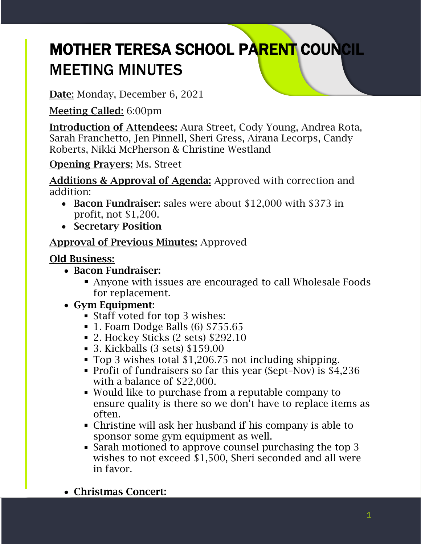# MOTHER TERESA SCHOOL PARENT COUNCIL MEETING MINUTES

Date: Monday, December 6, 2021

Meeting Called: 6:00pm

Introduction of Attendees: Aura Street, Cody Young, Andrea Rota, Sarah Franchetto, Jen Pinnell, Sheri Gress, Airana Lecorps, Candy Roberts, Nikki McPherson & Christine Westland

Opening Prayers: Ms. Street

Additions & Approval of Agenda: Approved with correction and addition:

- Bacon Fundraiser: sales were about \$12,000 with \$373 in profit, not \$1,200.
- Secretary Position

# Approval of Previous Minutes: Approved

# Old Business:

- Bacon Fundraiser:
	- Anyone with issues are encouraged to call Wholesale Foods for replacement.
- Gym Equipment:
	- Staff voted for top 3 wishes:
	- 1. Foam Dodge Balls (6) \$755.65
	- 2. Hockey Sticks (2 sets) \$292.10
	- 3. Kickballs (3 sets) \$159.00
	- Top 3 wishes total \$1,206.75 not including shipping.
	- Profit of fundraisers so far this year (Sept–Nov) is \$4,236 with a balance of \$22,000.
	- Would like to purchase from a reputable company to ensure quality is there so we don't have to replace items as often.
	- Christine will ask her husband if his company is able to sponsor some gym equipment as well.
	- Sarah motioned to approve counsel purchasing the top 3 wishes to not exceed \$1,500, Sheri seconded and all were in favor.
- Christmas Concert: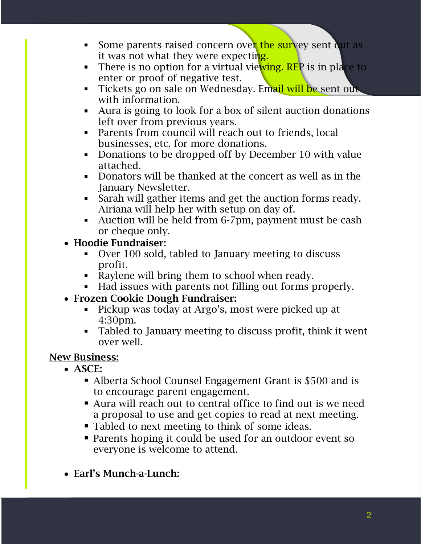- Some parents raised concern over the survey sent out as it was not what they were expecting.
- There is no option for a virtual viewing. REP is in place to enter or proof of negative test.
- Tickets go on sale on Wednesday. Email will be sent out with information.
- Aura is going to look for a box of silent auction donations left over from previous years.
- Parents from council will reach out to friends, local businesses, etc. for more donations.
- Donations to be dropped off by December 10 with value attached.
- Donators will be thanked at the concert as well as in the January Newsletter.
- Sarah will gather items and get the auction forms ready. Airiana will help her with setup on day of.
- Auction will be held from 6-7pm, payment must be cash or cheque only.
- Hoodie Fundraiser:
	- Over 100 sold, tabled to January meeting to discuss profit.
	- Raylene will bring them to school when ready.
	- Had issues with parents not filling out forms properly.
- Frozen Cookie Dough Fundraiser:
	- Pickup was today at Argo's, most were picked up at  $\blacksquare$ 4:30pm.
	- Tabled to January meeting to discuss profit, think it went over well.

# New Business:

- ASCE:
	- Alberta School Counsel Engagement Grant is \$500 and is to encourage parent engagement.
	- Aura will reach out to central office to find out is we need a proposal to use and get copies to read at next meeting.
	- Tabled to next meeting to think of some ideas.
	- Parents hoping it could be used for an outdoor event so everyone is welcome to attend.
- Earl's Munch-a-Lunch: